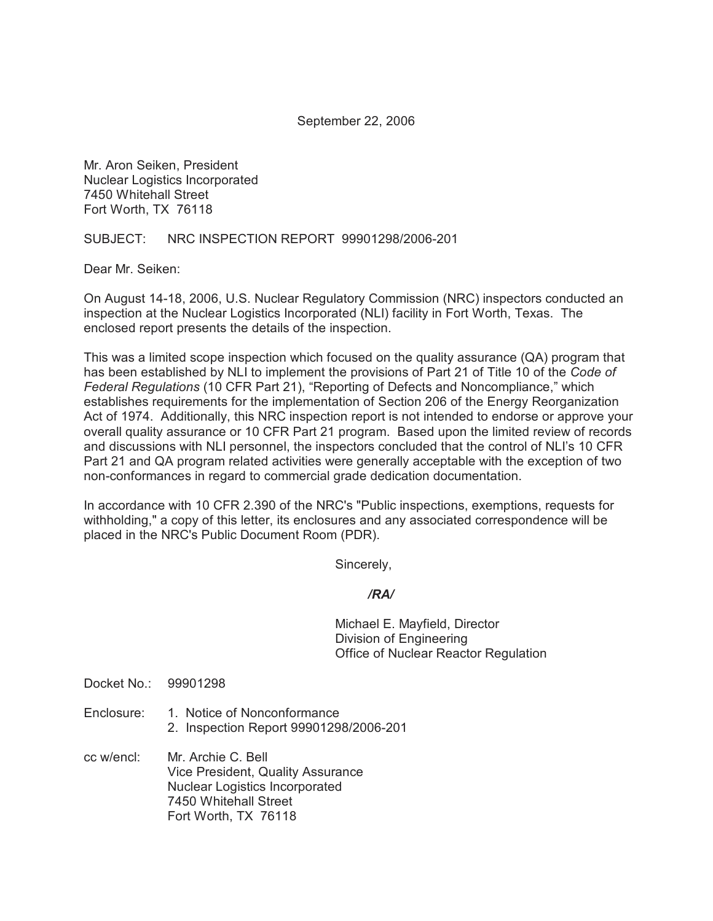September 22, 2006

Mr. Aron Seiken, President Nuclear Logistics Incorporated 7450 Whitehall Street Fort Worth, TX 76118

SUBJECT: NRC INSPECTION REPORT 99901298/2006-201

Dear Mr. Seiken:

On August 14-18, 2006, U.S. Nuclear Regulatory Commission (NRC) inspectors conducted an inspection at the Nuclear Logistics Incorporated (NLI) facility in Fort Worth, Texas. The enclosed report presents the details of the inspection.

This was a limited scope inspection which focused on the quality assurance (QA) program that has been established by NLI to implement the provisions of Part 21 of Title 10 of the *Code of Federal Regulations* (10 CFR Part 21), "Reporting of Defects and Noncompliance," which establishes requirements for the implementation of Section 206 of the Energy Reorganization Act of 1974. Additionally, this NRC inspection report is not intended to endorse or approve your overall quality assurance or 10 CFR Part 21 program. Based upon the limited review of records and discussions with NLI personnel, the inspectors concluded that the control of NLI's 10 CFR Part 21 and QA program related activities were generally acceptable with the exception of two non-conformances in regard to commercial grade dedication documentation.

In accordance with 10 CFR 2.390 of the NRC's "Public inspections, exemptions, requests for withholding," a copy of this letter, its enclosures and any associated correspondence will be placed in the NRC's Public Document Room (PDR).

Sincerely,

## */RA/*

Michael E. Mayfield, Director Division of Engineering Office of Nuclear Reactor Regulation

Docket No.: 99901298

- Enclosure: 1. Notice of Nonconformance 2. Inspection Report 99901298/2006-201
- cc w/encl: Mr. Archie C. Bell Vice President, Quality Assurance Nuclear Logistics Incorporated 7450 Whitehall Street Fort Worth, TX 76118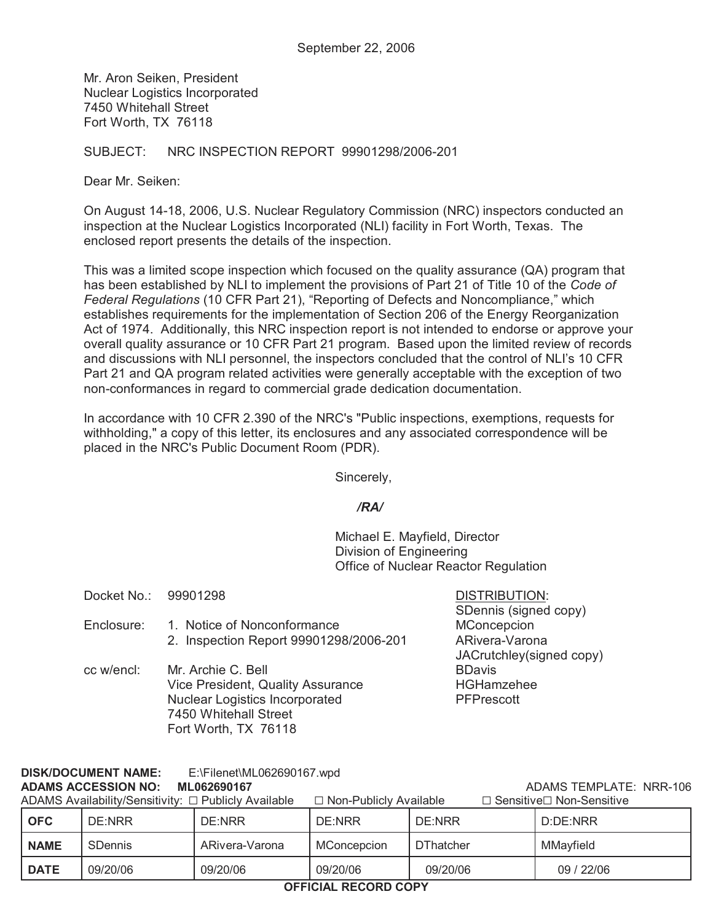Mr. Aron Seiken, President Nuclear Logistics Incorporated 7450 Whitehall Street Fort Worth, TX 76118

SUBJECT: NRC INSPECTION REPORT 99901298/2006-201

Dear Mr. Seiken:

On August 14-18, 2006, U.S. Nuclear Regulatory Commission (NRC) inspectors conducted an inspection at the Nuclear Logistics Incorporated (NLI) facility in Fort Worth, Texas. The enclosed report presents the details of the inspection.

This was a limited scope inspection which focused on the quality assurance (QA) program that has been established by NLI to implement the provisions of Part 21 of Title 10 of the *Code of Federal Regulations* (10 CFR Part 21), "Reporting of Defects and Noncompliance," which establishes requirements for the implementation of Section 206 of the Energy Reorganization Act of 1974. Additionally, this NRC inspection report is not intended to endorse or approve your overall quality assurance or 10 CFR Part 21 program. Based upon the limited review of records and discussions with NLI personnel, the inspectors concluded that the control of NLI's 10 CFR Part 21 and QA program related activities were generally acceptable with the exception of two non-conformances in regard to commercial grade dedication documentation.

In accordance with 10 CFR 2.390 of the NRC's "Public inspections, exemptions, requests for withholding," a copy of this letter, its enclosures and any associated correspondence will be placed in the NRC's Public Document Room (PDR).

Sincerely,

## */RA/*

Michael E. Mayfield, Director Division of Engineering Office of Nuclear Reactor Regulation

| Docket No.: 99901298 |                                        | <b>DISTRIBUTION:</b>     |
|----------------------|----------------------------------------|--------------------------|
|                      |                                        | SDennis (signed copy)    |
| Enclosure:           | 1. Notice of Nonconformance            | MConcepcion              |
|                      | 2. Inspection Report 99901298/2006-201 | ARivera-Varona           |
|                      |                                        | JACrutchley(signed copy) |
| cc w/encl:           | Mr. Archie C. Bell                     | <b>BDavis</b>            |
|                      | Vice President, Quality Assurance      | <b>HGHamzehee</b>        |
|                      | Nuclear Logistics Incorporated         | <b>PFPrescott</b>        |
|                      | 7450 Whitehall Street                  |                          |
|                      | Fort Worth, TX 76118                   |                          |

## **DISK/DOCUMENT NAME:** E:\Filenet\ML062690167.wpd

## **ADAMS ACCESSION NO: ML062690167** ADAMS TEMPLATE: NRR-106

| ADAMS Availability/Sensitivity: □ Publicly Available |                |                | $\Box$ Non-Publicly Available |                  | $\Box$ Sensitive $\Box$ Non-Sensitive |            |
|------------------------------------------------------|----------------|----------------|-------------------------------|------------------|---------------------------------------|------------|
| <b>OFC</b>                                           | DE:NRR         | DE:NRR         | DE:NRR                        | DE:NRR           |                                       | D:DE:NRR   |
| <b>NAME</b>                                          | <b>SDennis</b> | ARivera-Varona | MConcepcion                   | <b>DThatcher</b> |                                       | MMavfield  |
| <b>DATE</b>                                          | 09/20/06       | 09/20/06       | 09/20/06                      | 09/20/06         |                                       | 09 / 22/06 |

**OFFICIAL RECORD COPY**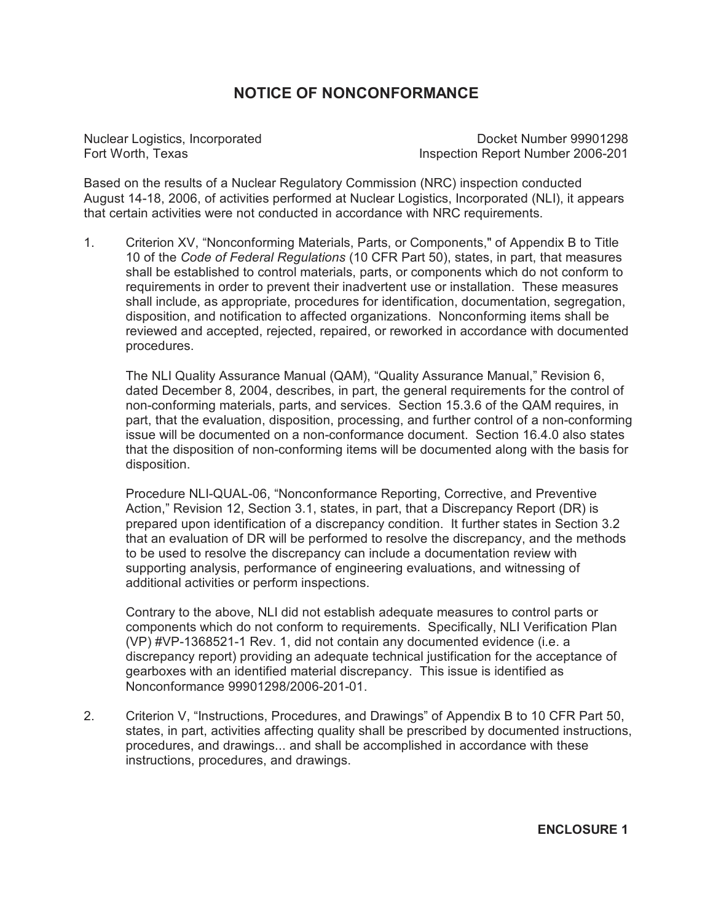# **NOTICE OF NONCONFORMANCE**

Nuclear Logistics, Incorporated Docket Number 99901298<br>Fort Worth. Texas **Docket Number 2006-201** Inspection Report Number 2006-201

Based on the results of a Nuclear Regulatory Commission (NRC) inspection conducted August 14-18, 2006, of activities performed at Nuclear Logistics, Incorporated (NLI), it appears that certain activities were not conducted in accordance with NRC requirements.

1. Criterion XV, "Nonconforming Materials, Parts, or Components," of Appendix B to Title 10 of the *Code of Federal Regulations* (10 CFR Part 50), states, in part, that measures shall be established to control materials, parts, or components which do not conform to requirements in order to prevent their inadvertent use or installation. These measures shall include, as appropriate, procedures for identification, documentation, segregation, disposition, and notification to affected organizations. Nonconforming items shall be reviewed and accepted, rejected, repaired, or reworked in accordance with documented procedures.

The NLI Quality Assurance Manual (QAM), "Quality Assurance Manual," Revision 6, dated December 8, 2004, describes, in part, the general requirements for the control of non-conforming materials, parts, and services. Section 15.3.6 of the QAM requires, in part, that the evaluation, disposition, processing, and further control of a non-conforming issue will be documented on a non-conformance document. Section 16.4.0 also states that the disposition of non-conforming items will be documented along with the basis for disposition.

Procedure NLI-QUAL-06, "Nonconformance Reporting, Corrective, and Preventive Action," Revision 12, Section 3.1, states, in part, that a Discrepancy Report (DR) is prepared upon identification of a discrepancy condition. It further states in Section 3.2 that an evaluation of DR will be performed to resolve the discrepancy, and the methods to be used to resolve the discrepancy can include a documentation review with supporting analysis, performance of engineering evaluations, and witnessing of additional activities or perform inspections.

Contrary to the above, NLI did not establish adequate measures to control parts or components which do not conform to requirements. Specifically, NLI Verification Plan (VP) #VP-1368521-1 Rev. 1, did not contain any documented evidence (i.e. a discrepancy report) providing an adequate technical justification for the acceptance of gearboxes with an identified material discrepancy. This issue is identified as Nonconformance 99901298/2006-201-01.

2. Criterion V, "Instructions, Procedures, and Drawings" of Appendix B to 10 CFR Part 50, states, in part, activities affecting quality shall be prescribed by documented instructions, procedures, and drawings... and shall be accomplished in accordance with these instructions, procedures, and drawings.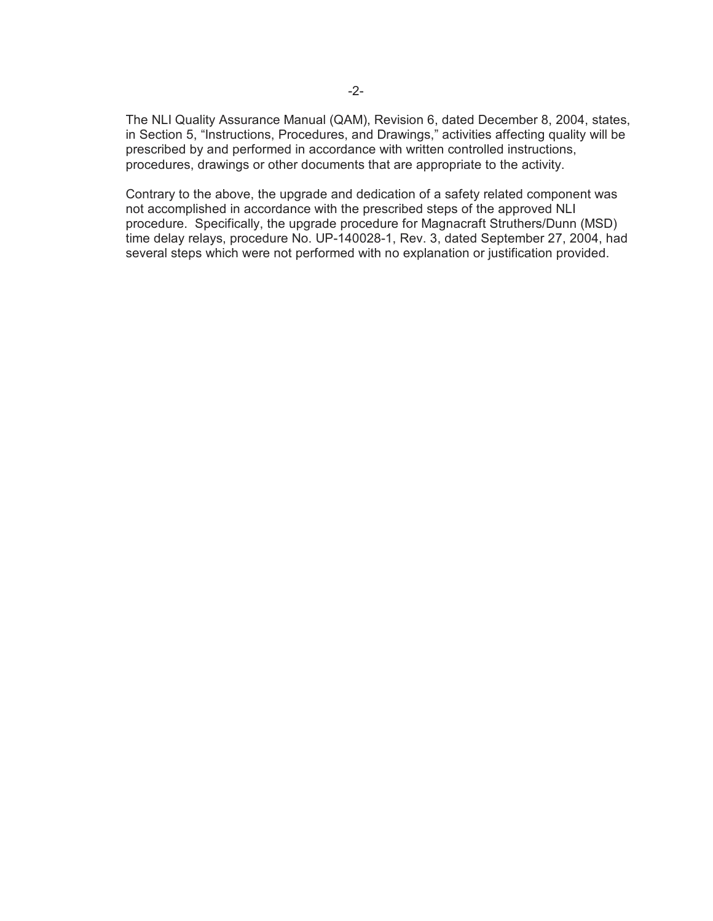The NLI Quality Assurance Manual (QAM), Revision 6, dated December 8, 2004, states, in Section 5, "Instructions, Procedures, and Drawings," activities affecting quality will be prescribed by and performed in accordance with written controlled instructions, procedures, drawings or other documents that are appropriate to the activity.

Contrary to the above, the upgrade and dedication of a safety related component was not accomplished in accordance with the prescribed steps of the approved NLI procedure. Specifically, the upgrade procedure for Magnacraft Struthers/Dunn (MSD) time delay relays, procedure No. UP-140028-1, Rev. 3, dated September 27, 2004, had several steps which were not performed with no explanation or justification provided.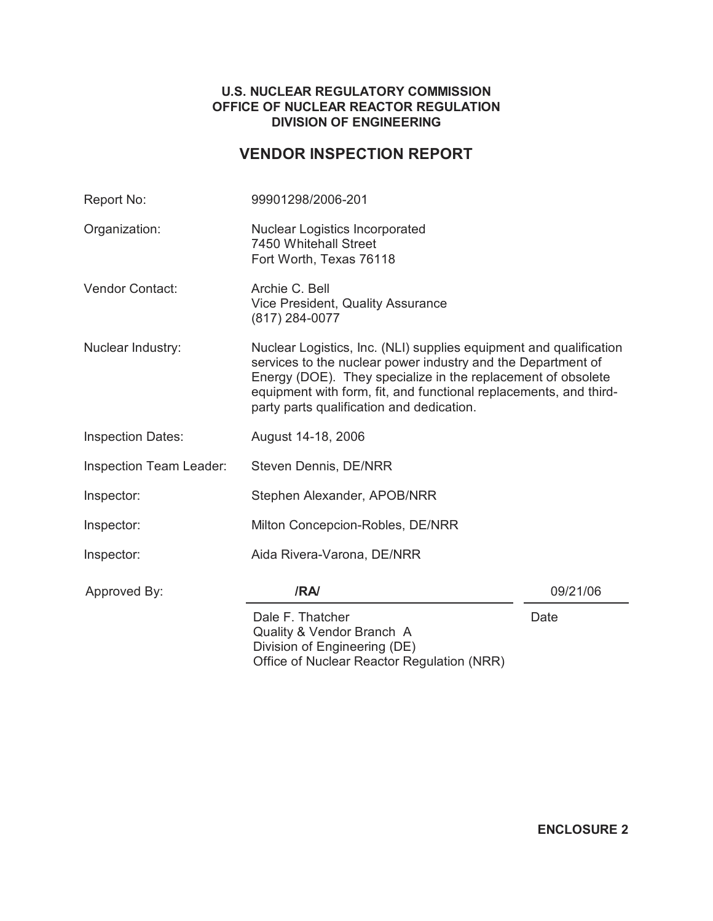## **U.S. NUCLEAR REGULATORY COMMISSION OFFICE OF NUCLEAR REACTOR REGULATION DIVISION OF ENGINEERING**

# **VENDOR INSPECTION REPORT**

| Report No:               | 99901298/2006-201                                                                                                                                                         |                                                                                                                                         |  |  |  |
|--------------------------|---------------------------------------------------------------------------------------------------------------------------------------------------------------------------|-----------------------------------------------------------------------------------------------------------------------------------------|--|--|--|
| Organization:            | <b>Nuclear Logistics Incorporated</b><br>7450 Whitehall Street<br>Fort Worth, Texas 76118                                                                                 |                                                                                                                                         |  |  |  |
| Vendor Contact:          | Archie C. Bell<br>Vice President, Quality Assurance<br>(817) 284-0077                                                                                                     |                                                                                                                                         |  |  |  |
| Nuclear Industry:        | services to the nuclear power industry and the Department of<br>Energy (DOE). They specialize in the replacement of obsolete<br>party parts qualification and dedication. | Nuclear Logistics, Inc. (NLI) supplies equipment and qualification<br>equipment with form, fit, and functional replacements, and third- |  |  |  |
| <b>Inspection Dates:</b> | August 14-18, 2006                                                                                                                                                        |                                                                                                                                         |  |  |  |
| Inspection Team Leader:  | Steven Dennis, DE/NRR                                                                                                                                                     |                                                                                                                                         |  |  |  |
| Inspector:               | Stephen Alexander, APOB/NRR                                                                                                                                               |                                                                                                                                         |  |  |  |
| Inspector:               | Milton Concepcion-Robles, DE/NRR                                                                                                                                          |                                                                                                                                         |  |  |  |
| Inspector:               | Aida Rivera-Varona, DE/NRR                                                                                                                                                |                                                                                                                                         |  |  |  |
| Approved By:             | /RA/                                                                                                                                                                      | 09/21/06                                                                                                                                |  |  |  |
|                          | Dale F. Thatcher<br>Quality & Vendor Branch A<br>Division of Engineering (DE)<br>Office of Nuclear Reactor Regulation (NRR)                                               | Date                                                                                                                                    |  |  |  |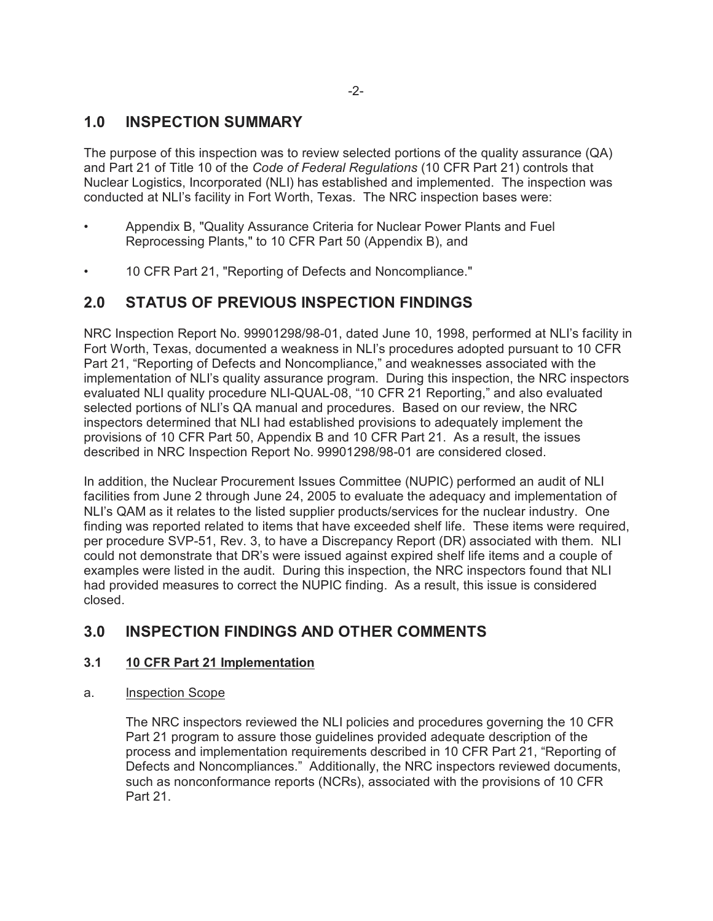# **1.0 INSPECTION SUMMARY**

The purpose of this inspection was to review selected portions of the quality assurance (QA) and Part 21 of Title 10 of the *Code of Federal Regulations* (10 CFR Part 21) controls that Nuclear Logistics, Incorporated (NLI) has established and implemented. The inspection was conducted at NLI's facility in Fort Worth, Texas. The NRC inspection bases were:

- Appendix B, "Quality Assurance Criteria for Nuclear Power Plants and Fuel Reprocessing Plants," to 10 CFR Part 50 (Appendix B), and
- 10 CFR Part 21, "Reporting of Defects and Noncompliance."

# **2.0 STATUS OF PREVIOUS INSPECTION FINDINGS**

NRC Inspection Report No. 99901298/98-01, dated June 10, 1998, performed at NLI's facility in Fort Worth, Texas, documented a weakness in NLI's procedures adopted pursuant to 10 CFR Part 21, "Reporting of Defects and Noncompliance," and weaknesses associated with the implementation of NLI's quality assurance program. During this inspection, the NRC inspectors evaluated NLI quality procedure NLI-QUAL-08, "10 CFR 21 Reporting," and also evaluated selected portions of NLI's QA manual and procedures. Based on our review, the NRC inspectors determined that NLI had established provisions to adequately implement the provisions of 10 CFR Part 50, Appendix B and 10 CFR Part 21. As a result, the issues described in NRC Inspection Report No. 99901298/98-01 are considered closed.

In addition, the Nuclear Procurement Issues Committee (NUPIC) performed an audit of NLI facilities from June 2 through June 24, 2005 to evaluate the adequacy and implementation of NLI's QAM as it relates to the listed supplier products/services for the nuclear industry. One finding was reported related to items that have exceeded shelf life. These items were required, per procedure SVP-51, Rev. 3, to have a Discrepancy Report (DR) associated with them. NLI could not demonstrate that DR's were issued against expired shelf life items and a couple of examples were listed in the audit. During this inspection, the NRC inspectors found that NLI had provided measures to correct the NUPIC finding. As a result, this issue is considered closed.

# **3.0 INSPECTION FINDINGS AND OTHER COMMENTS**

## **3.1 10 CFR Part 21 Implementation**

a. Inspection Scope

The NRC inspectors reviewed the NLI policies and procedures governing the 10 CFR Part 21 program to assure those guidelines provided adequate description of the process and implementation requirements described in 10 CFR Part 21, "Reporting of Defects and Noncompliances." Additionally, the NRC inspectors reviewed documents, such as nonconformance reports (NCRs), associated with the provisions of 10 CFR Part 21.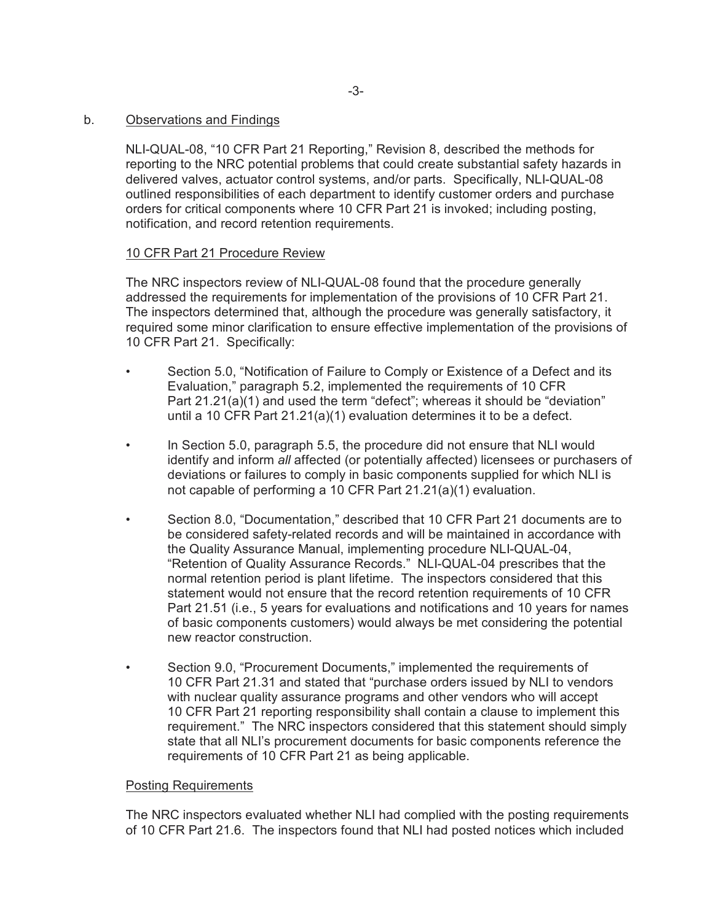#### b. Observations and Findings

NLI-QUAL-08, "10 CFR Part 21 Reporting," Revision 8, described the methods for reporting to the NRC potential problems that could create substantial safety hazards in delivered valves, actuator control systems, and/or parts. Specifically, NLI-QUAL-08 outlined responsibilities of each department to identify customer orders and purchase orders for critical components where 10 CFR Part 21 is invoked; including posting, notification, and record retention requirements.

### 10 CFR Part 21 Procedure Review

The NRC inspectors review of NLI-QUAL-08 found that the procedure generally addressed the requirements for implementation of the provisions of 10 CFR Part 21. The inspectors determined that, although the procedure was generally satisfactory, it required some minor clarification to ensure effective implementation of the provisions of 10 CFR Part 21. Specifically:

- Section 5.0, "Notification of Failure to Comply or Existence of a Defect and its Evaluation," paragraph 5.2, implemented the requirements of 10 CFR Part 21.21(a)(1) and used the term "defect"; whereas it should be "deviation" until a 10 CFR Part 21.21(a)(1) evaluation determines it to be a defect.
- In Section 5.0, paragraph 5.5, the procedure did not ensure that NLI would identify and inform *all* affected (or potentially affected) licensees or purchasers of deviations or failures to comply in basic components supplied for which NLI is not capable of performing a 10 CFR Part 21.21(a)(1) evaluation.
- Section 8.0, "Documentation," described that 10 CFR Part 21 documents are to be considered safety-related records and will be maintained in accordance with the Quality Assurance Manual, implementing procedure NLI-QUAL-04, "Retention of Quality Assurance Records." NLI-QUAL-04 prescribes that the normal retention period is plant lifetime. The inspectors considered that this statement would not ensure that the record retention requirements of 10 CFR Part 21.51 (i.e., 5 years for evaluations and notifications and 10 years for names of basic components customers) would always be met considering the potential new reactor construction.
- Section 9.0, "Procurement Documents," implemented the requirements of 10 CFR Part 21.31 and stated that "purchase orders issued by NLI to vendors with nuclear quality assurance programs and other vendors who will accept 10 CFR Part 21 reporting responsibility shall contain a clause to implement this requirement." The NRC inspectors considered that this statement should simply state that all NLI's procurement documents for basic components reference the requirements of 10 CFR Part 21 as being applicable.

#### Posting Requirements

The NRC inspectors evaluated whether NLI had complied with the posting requirements of 10 CFR Part 21.6. The inspectors found that NLI had posted notices which included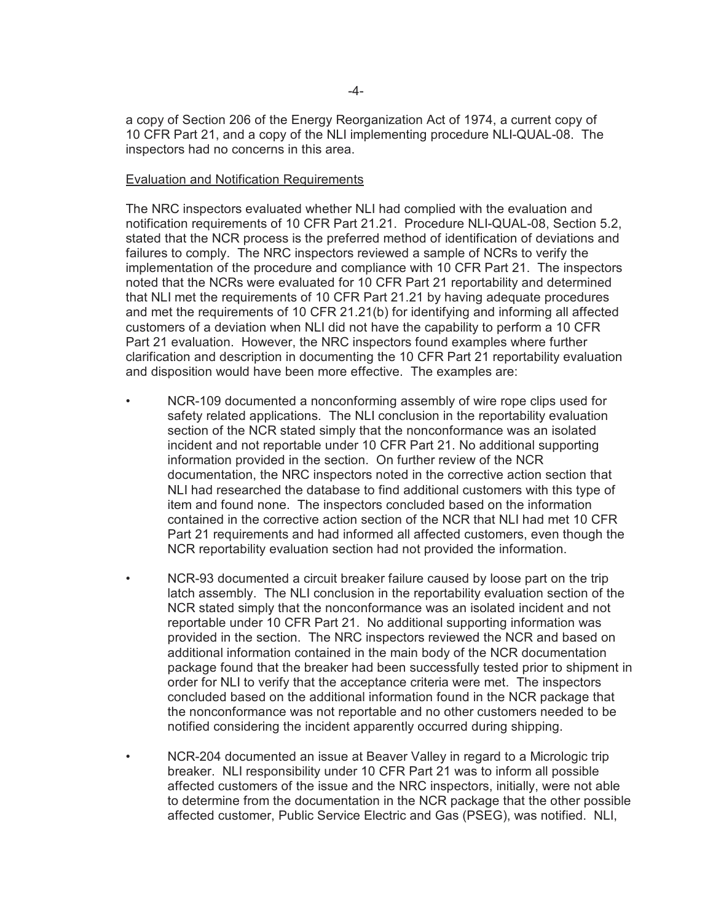a copy of Section 206 of the Energy Reorganization Act of 1974, a current copy of 10 CFR Part 21, and a copy of the NLI implementing procedure NLI-QUAL-08. The inspectors had no concerns in this area.

#### Evaluation and Notification Requirements

The NRC inspectors evaluated whether NLI had complied with the evaluation and notification requirements of 10 CFR Part 21.21. Procedure NLI-QUAL-08, Section 5.2, stated that the NCR process is the preferred method of identification of deviations and failures to comply. The NRC inspectors reviewed a sample of NCRs to verify the implementation of the procedure and compliance with 10 CFR Part 21. The inspectors noted that the NCRs were evaluated for 10 CFR Part 21 reportability and determined that NLI met the requirements of 10 CFR Part 21.21 by having adequate procedures and met the requirements of 10 CFR 21.21(b) for identifying and informing all affected customers of a deviation when NLI did not have the capability to perform a 10 CFR Part 21 evaluation. However, the NRC inspectors found examples where further clarification and description in documenting the 10 CFR Part 21 reportability evaluation and disposition would have been more effective. The examples are:

- NCR-109 documented a nonconforming assembly of wire rope clips used for safety related applications. The NLI conclusion in the reportability evaluation section of the NCR stated simply that the nonconformance was an isolated incident and not reportable under 10 CFR Part 21. No additional supporting information provided in the section. On further review of the NCR documentation, the NRC inspectors noted in the corrective action section that NLI had researched the database to find additional customers with this type of item and found none. The inspectors concluded based on the information contained in the corrective action section of the NCR that NLI had met 10 CFR Part 21 requirements and had informed all affected customers, even though the NCR reportability evaluation section had not provided the information.
- NCR-93 documented a circuit breaker failure caused by loose part on the trip latch assembly. The NLI conclusion in the reportability evaluation section of the NCR stated simply that the nonconformance was an isolated incident and not reportable under 10 CFR Part 21. No additional supporting information was provided in the section. The NRC inspectors reviewed the NCR and based on additional information contained in the main body of the NCR documentation package found that the breaker had been successfully tested prior to shipment in order for NLI to verify that the acceptance criteria were met. The inspectors concluded based on the additional information found in the NCR package that the nonconformance was not reportable and no other customers needed to be notified considering the incident apparently occurred during shipping.
- NCR-204 documented an issue at Beaver Valley in regard to a Micrologic trip breaker. NLI responsibility under 10 CFR Part 21 was to inform all possible affected customers of the issue and the NRC inspectors, initially, were not able to determine from the documentation in the NCR package that the other possible affected customer, Public Service Electric and Gas (PSEG), was notified. NLI,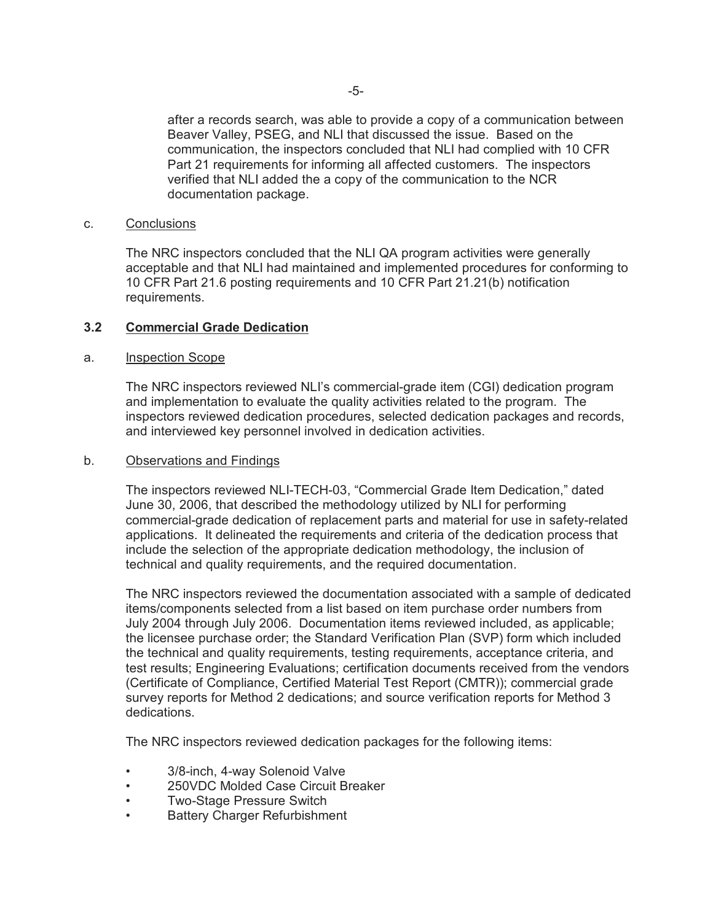after a records search, was able to provide a copy of a communication between Beaver Valley, PSEG, and NLI that discussed the issue. Based on the communication, the inspectors concluded that NLI had complied with 10 CFR Part 21 requirements for informing all affected customers. The inspectors verified that NLI added the a copy of the communication to the NCR documentation package.

#### c. Conclusions

The NRC inspectors concluded that the NLI QA program activities were generally acceptable and that NLI had maintained and implemented procedures for conforming to 10 CFR Part 21.6 posting requirements and 10 CFR Part 21.21(b) notification requirements.

## **3.2 Commercial Grade Dedication**

#### a. Inspection Scope

The NRC inspectors reviewed NLI's commercial-grade item (CGI) dedication program and implementation to evaluate the quality activities related to the program. The inspectors reviewed dedication procedures, selected dedication packages and records, and interviewed key personnel involved in dedication activities.

#### b. Observations and Findings

The inspectors reviewed NLI-TECH-03, "Commercial Grade Item Dedication," dated June 30, 2006, that described the methodology utilized by NLI for performing commercial-grade dedication of replacement parts and material for use in safety-related applications. It delineated the requirements and criteria of the dedication process that include the selection of the appropriate dedication methodology, the inclusion of technical and quality requirements, and the required documentation.

The NRC inspectors reviewed the documentation associated with a sample of dedicated items/components selected from a list based on item purchase order numbers from July 2004 through July 2006. Documentation items reviewed included, as applicable; the licensee purchase order; the Standard Verification Plan (SVP) form which included the technical and quality requirements, testing requirements, acceptance criteria, and test results; Engineering Evaluations; certification documents received from the vendors (Certificate of Compliance, Certified Material Test Report (CMTR)); commercial grade survey reports for Method 2 dedications; and source verification reports for Method 3 dedications.

The NRC inspectors reviewed dedication packages for the following items:

- 3/8-inch, 4-way Solenoid Valve
- 250VDC Molded Case Circuit Breaker
- Two-Stage Pressure Switch
- **Battery Charger Refurbishment**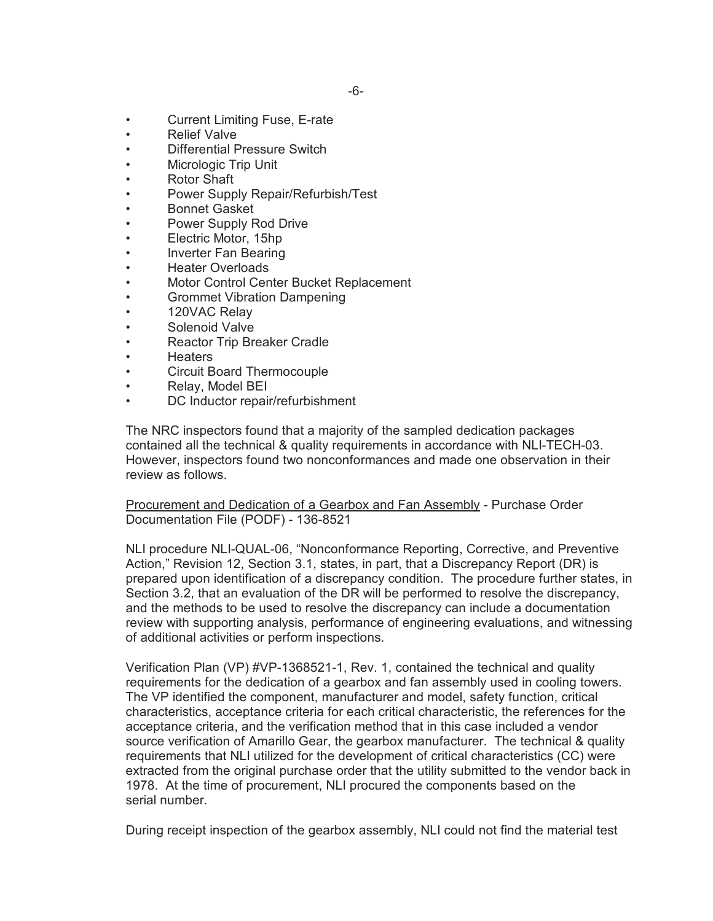- Current Limiting Fuse, E-rate
- **Relief Valve**
- Differential Pressure Switch
- Micrologic Trip Unit
- Rotor Shaft
- Power Supply Repair/Refurbish/Test
- Bonnet Gasket
- Power Supply Rod Drive
- Electric Motor, 15hp
- Inverter Fan Bearing
- Heater Overloads
- Motor Control Center Bucket Replacement
- Grommet Vibration Dampening
- 120VAC Relay
- Solenoid Valve
- Reactor Trip Breaker Cradle
- Heaters
- Circuit Board Thermocouple
- Relay, Model BEI
- DC Inductor repair/refurbishment

The NRC inspectors found that a majority of the sampled dedication packages contained all the technical & quality requirements in accordance with NLI-TECH-03. However, inspectors found two nonconformances and made one observation in their review as follows.

Procurement and Dedication of a Gearbox and Fan Assembly - Purchase Order Documentation File (PODF) - 136-8521

NLI procedure NLI-QUAL-06, "Nonconformance Reporting, Corrective, and Preventive Action," Revision 12, Section 3.1, states, in part, that a Discrepancy Report (DR) is prepared upon identification of a discrepancy condition. The procedure further states, in Section 3.2, that an evaluation of the DR will be performed to resolve the discrepancy, and the methods to be used to resolve the discrepancy can include a documentation review with supporting analysis, performance of engineering evaluations, and witnessing of additional activities or perform inspections.

Verification Plan (VP) #VP-1368521-1, Rev. 1, contained the technical and quality requirements for the dedication of a gearbox and fan assembly used in cooling towers. The VP identified the component, manufacturer and model, safety function, critical characteristics, acceptance criteria for each critical characteristic, the references for the acceptance criteria, and the verification method that in this case included a vendor source verification of Amarillo Gear, the gearbox manufacturer. The technical & quality requirements that NLI utilized for the development of critical characteristics (CC) were extracted from the original purchase order that the utility submitted to the vendor back in 1978. At the time of procurement, NLI procured the components based on the serial number.

During receipt inspection of the gearbox assembly, NLI could not find the material test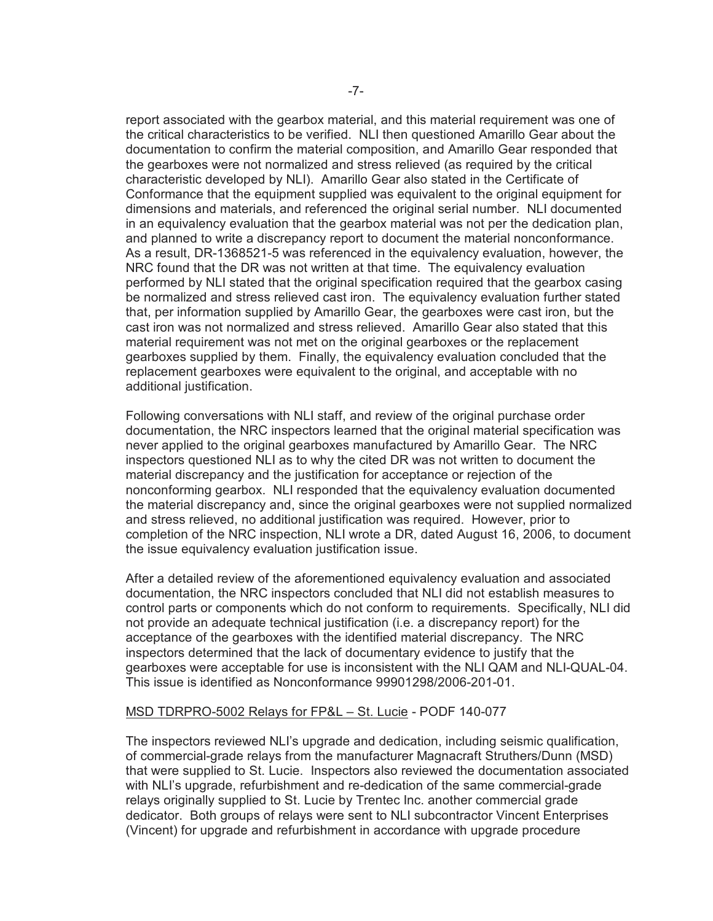report associated with the gearbox material, and this material requirement was one of the critical characteristics to be verified. NLI then questioned Amarillo Gear about the documentation to confirm the material composition, and Amarillo Gear responded that the gearboxes were not normalized and stress relieved (as required by the critical characteristic developed by NLI). Amarillo Gear also stated in the Certificate of Conformance that the equipment supplied was equivalent to the original equipment for dimensions and materials, and referenced the original serial number. NLI documented in an equivalency evaluation that the gearbox material was not per the dedication plan, and planned to write a discrepancy report to document the material nonconformance. As a result, DR-1368521-5 was referenced in the equivalency evaluation, however, the NRC found that the DR was not written at that time. The equivalency evaluation performed by NLI stated that the original specification required that the gearbox casing be normalized and stress relieved cast iron. The equivalency evaluation further stated that, per information supplied by Amarillo Gear, the gearboxes were cast iron, but the cast iron was not normalized and stress relieved. Amarillo Gear also stated that this material requirement was not met on the original gearboxes or the replacement gearboxes supplied by them. Finally, the equivalency evaluation concluded that the replacement gearboxes were equivalent to the original, and acceptable with no additional justification.

Following conversations with NLI staff, and review of the original purchase order documentation, the NRC inspectors learned that the original material specification was never applied to the original gearboxes manufactured by Amarillo Gear. The NRC inspectors questioned NLI as to why the cited DR was not written to document the material discrepancy and the justification for acceptance or rejection of the nonconforming gearbox. NLI responded that the equivalency evaluation documented the material discrepancy and, since the original gearboxes were not supplied normalized and stress relieved, no additional justification was required. However, prior to completion of the NRC inspection, NLI wrote a DR, dated August 16, 2006, to document the issue equivalency evaluation justification issue.

After a detailed review of the aforementioned equivalency evaluation and associated documentation, the NRC inspectors concluded that NLI did not establish measures to control parts or components which do not conform to requirements. Specifically, NLI did not provide an adequate technical justification (i.e. a discrepancy report) for the acceptance of the gearboxes with the identified material discrepancy. The NRC inspectors determined that the lack of documentary evidence to justify that the gearboxes were acceptable for use is inconsistent with the NLI QAM and NLI-QUAL-04. This issue is identified as Nonconformance 99901298/2006-201-01.

#### MSD TDRPRO-5002 Relays for FP&L – St. Lucie - PODF 140-077

The inspectors reviewed NLI's upgrade and dedication, including seismic qualification, of commercial-grade relays from the manufacturer Magnacraft Struthers/Dunn (MSD) that were supplied to St. Lucie. Inspectors also reviewed the documentation associated with NLI's upgrade, refurbishment and re-dedication of the same commercial-grade relays originally supplied to St. Lucie by Trentec Inc. another commercial grade dedicator. Both groups of relays were sent to NLI subcontractor Vincent Enterprises (Vincent) for upgrade and refurbishment in accordance with upgrade procedure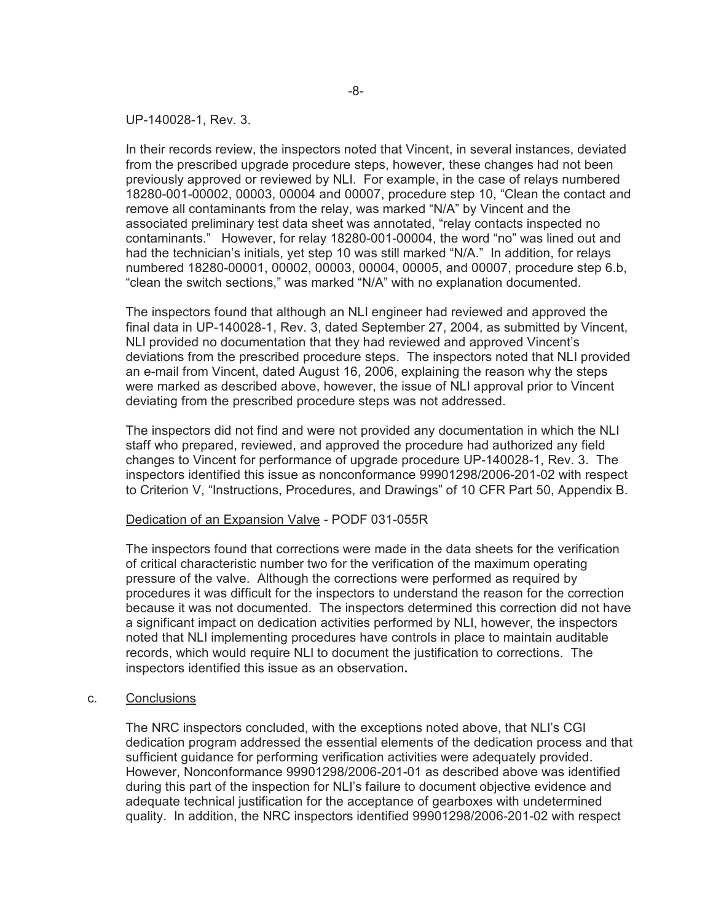UP-140028-1, Rev. 3.

In their records review, the inspectors noted that Vincent, in several instances, deviated from the prescribed upgrade procedure steps, however, these changes had not been previously approved or reviewed by NLI. For example, in the case of relays numbered 18280-001-00002, 00003, 00004 and 00007, procedure step 10, "Clean the contact and remove all contaminants from the relay, was marked "N/A" by Vincent and the associated preliminary test data sheet was annotated, "relay contacts inspected no contaminants." However, for relay 18280-001-00004, the word "no" was lined out and had the technician's initials, yet step 10 was still marked "N/A." In addition, for relays numbered 18280-00001, 00002, 00003, 00004, 00005, and 00007, procedure step 6.b, "clean the switch sections," was marked "N/A" with no explanation documented.

The inspectors found that although an NLI engineer had reviewed and approved the final data in UP-140028-1, Rev. 3, dated September 27, 2004, as submitted by Vincent, NLI provided no documentation that they had reviewed and approved Vincent's deviations from the prescribed procedure steps. The inspectors noted that NLI provided an e-mail from Vincent, dated August 16, 2006, explaining the reason why the steps were marked as described above, however, the issue of NLI approval prior to Vincent deviating from the prescribed procedure steps was not addressed.

The inspectors did not find and were not provided any documentation in which the NLI staff who prepared, reviewed, and approved the procedure had authorized any field changes to Vincent for performance of upgrade procedure UP-140028-1, Rev. 3. The inspectors identified this issue as nonconformance 99901298/2006-201-02 with respect to Criterion V, "Instructions, Procedures, and Drawings" of 10 CFR Part 50, Appendix B.

#### Dedication of an Expansion Valve - PODF 031-055R

The inspectors found that corrections were made in the data sheets for the verification of critical characteristic number two for the verification of the maximum operating pressure of the valve. Although the corrections were performed as required by procedures it was difficult for the inspectors to understand the reason for the correction because it was not documented. The inspectors determined this correction did not have a significant impact on dedication activities performed by NLI, however, the inspectors noted that NLI implementing procedures have controls in place to maintain auditable records, which would require NLI to document the justification to corrections.The inspectors identified this issue as an observation**.**

#### c. Conclusions

The NRC inspectors concluded, with the exceptions noted above, that NLI's CGI dedication program addressed the essential elements of the dedication process and that sufficient guidance for performing verification activities were adequately provided. However, Nonconformance 99901298/2006-201-01 as described above was identified during this part of the inspection for NLI's failure to document objective evidence and adequate technical justification for the acceptance of gearboxes with undetermined quality. In addition, the NRC inspectors identified 99901298/2006-201-02 with respect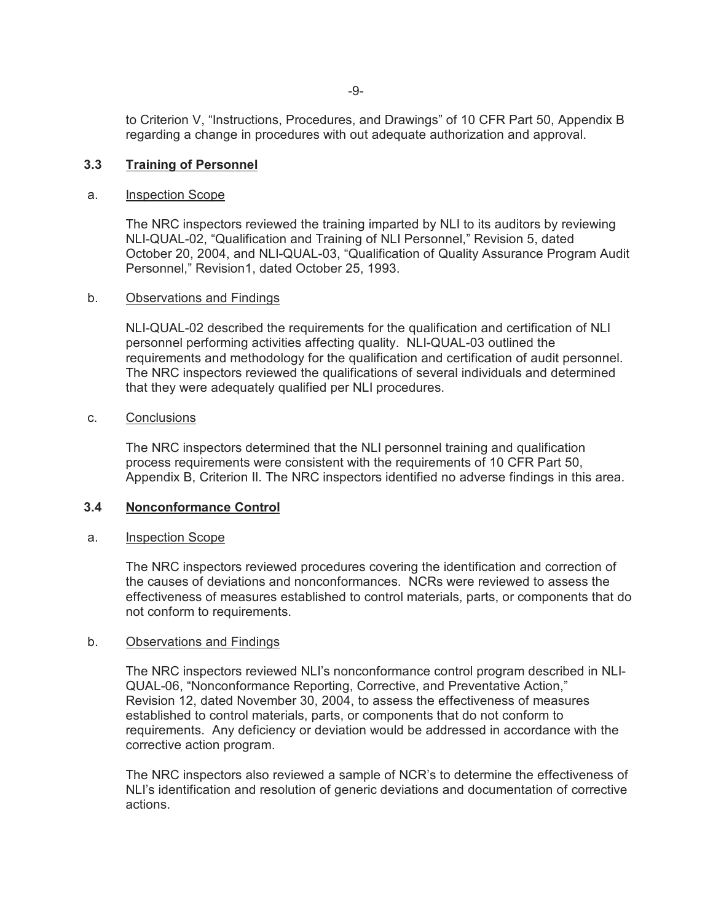to Criterion V, "Instructions, Procedures, and Drawings" of 10 CFR Part 50, Appendix B regarding a change in procedures with out adequate authorization and approval.

### **3.3 Training of Personnel**

#### a. Inspection Scope

The NRC inspectors reviewed the training imparted by NLI to its auditors by reviewing NLI-QUAL-02, "Qualification and Training of NLI Personnel," Revision 5, dated October 20, 2004, and NLI-QUAL-03, "Qualification of Quality Assurance Program Audit Personnel," Revision1, dated October 25, 1993.

#### b. Observations and Findings

NLI-QUAL-02 described the requirements for the qualification and certification of NLI personnel performing activities affecting quality. NLI-QUAL-03 outlined the requirements and methodology for the qualification and certification of audit personnel. The NRC inspectors reviewed the qualifications of several individuals and determined that they were adequately qualified per NLI procedures.

#### c. Conclusions

The NRC inspectors determined that the NLI personnel training and qualification process requirements were consistent with the requirements of 10 CFR Part 50, Appendix B, Criterion II. The NRC inspectors identified no adverse findings in this area.

#### **3.4 Nonconformance Control**

#### a. Inspection Scope

The NRC inspectors reviewed procedures covering the identification and correction of the causes of deviations and nonconformances. NCRs were reviewed to assess the effectiveness of measures established to control materials, parts, or components that do not conform to requirements.

#### b. Observations and Findings

The NRC inspectors reviewed NLI's nonconformance control program described in NLI-QUAL-06, "Nonconformance Reporting, Corrective, and Preventative Action," Revision 12, dated November 30, 2004, to assess the effectiveness of measures established to control materials, parts, or components that do not conform to requirements. Any deficiency or deviation would be addressed in accordance with the corrective action program.

The NRC inspectors also reviewed a sample of NCR's to determine the effectiveness of NLI's identification and resolution of generic deviations and documentation of corrective actions.